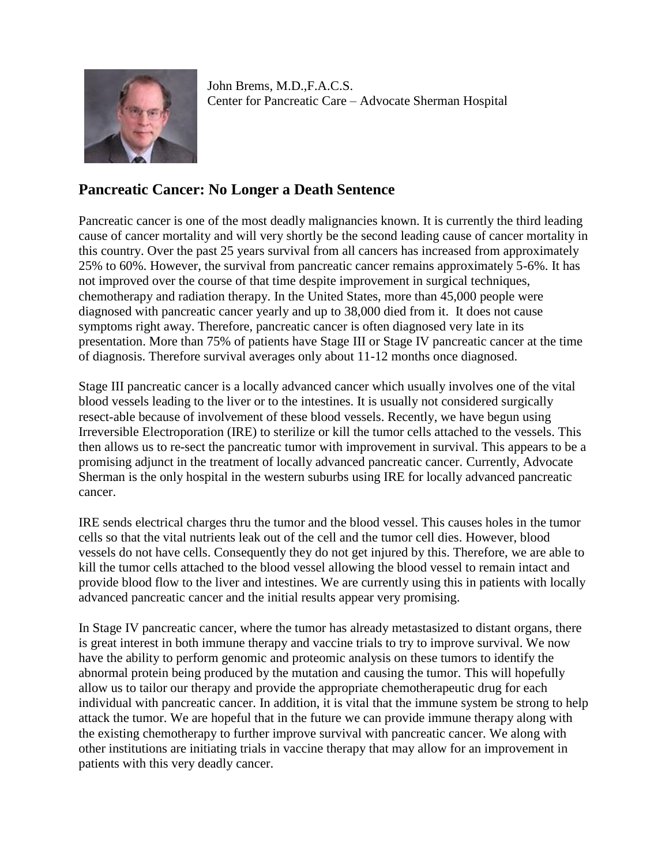

John Brems, M.D.,F.A.C.S. Center for Pancreatic Care – Advocate Sherman Hospital

## **Pancreatic Cancer: No Longer a Death Sentence**

Pancreatic cancer is one of the most deadly malignancies known. It is currently the third leading cause of cancer mortality and will very shortly be the second leading cause of cancer mortality in this country. Over the past 25 years survival from all cancers has increased from approximately 25% to 60%. However, the survival from pancreatic cancer remains approximately 5-6%. It has not improved over the course of that time despite improvement in surgical techniques, chemotherapy and radiation therapy. In the United States, more than 45,000 people were diagnosed with pancreatic cancer yearly and up to 38,000 died from it. It does not cause symptoms right away. Therefore, pancreatic cancer is often diagnosed very late in its presentation. More than 75% of patients have Stage III or Stage IV pancreatic cancer at the time of diagnosis. Therefore survival averages only about 11-12 months once diagnosed.

Stage III pancreatic cancer is a locally advanced cancer which usually involves one of the vital blood vessels leading to the liver or to the intestines. It is usually not considered surgically resect-able because of involvement of these blood vessels. Recently, we have begun using Irreversible Electroporation (IRE) to sterilize or kill the tumor cells attached to the vessels. This then allows us to re-sect the pancreatic tumor with improvement in survival. This appears to be a promising adjunct in the treatment of locally advanced pancreatic cancer. Currently, Advocate Sherman is the only hospital in the western suburbs using IRE for locally advanced pancreatic cancer.

IRE sends electrical charges thru the tumor and the blood vessel. This causes holes in the tumor cells so that the vital nutrients leak out of the cell and the tumor cell dies. However, blood vessels do not have cells. Consequently they do not get injured by this. Therefore, we are able to kill the tumor cells attached to the blood vessel allowing the blood vessel to remain intact and provide blood flow to the liver and intestines. We are currently using this in patients with locally advanced pancreatic cancer and the initial results appear very promising.

In Stage IV pancreatic cancer, where the tumor has already metastasized to distant organs, there is great interest in both immune therapy and vaccine trials to try to improve survival. We now have the ability to perform genomic and proteomic analysis on these tumors to identify the abnormal protein being produced by the mutation and causing the tumor. This will hopefully allow us to tailor our therapy and provide the appropriate chemotherapeutic drug for each individual with pancreatic cancer. In addition, it is vital that the immune system be strong to help attack the tumor. We are hopeful that in the future we can provide immune therapy along with the existing chemotherapy to further improve survival with pancreatic cancer. We along with other institutions are initiating trials in vaccine therapy that may allow for an improvement in patients with this very deadly cancer.